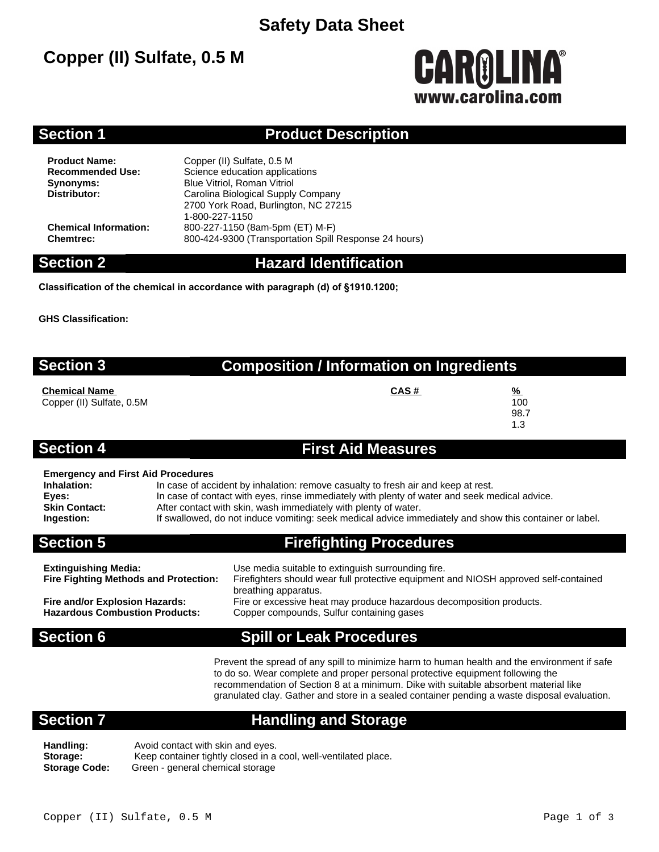### **Safety Data Sheet**

# **Copper (II) Sulfate, 0.5 M**

# **CAROLINA®** www.carolina.co

#### **Section 1 Product Description**

**Product Name:** Copper (II) Sulfate, 0.5 M<br> **Recommended Use:** Science education applica **Science education applications Synonyms:** Blue Vitriol, Roman Vitriol<br> **Distributor:** Carolina Biological Supply **Distributor:** Carolina Biological Supply Company 2700 York Road, Burlington, NC 27215 1-800-227-1150 **Chemical Information:** 800-227-1150 (8am-5pm (ET) M-F) **Chemtrec:** 800-424-9300 (Transportation Spill Response 24 hours)

#### **Section 2 Hazard Identification**

**Classification of the chemical in accordance with paragraph (d) of §1910.1200;**

**GHS Classification:**

### **Section 3 Composition / Information on Ingredients**

**Chemical Name CAS # %** Copper (II) Sulfate, 0.5M 100

98.7 1.3

#### **Section 4 First Aid Measures**

#### **Emergency and First Aid Procedures**

| Inhalation:   | In case of accident by inhalation: remove casualty to fresh air and keep at rest.                       |
|---------------|---------------------------------------------------------------------------------------------------------|
| Eyes:         | In case of contact with eyes, rinse immediately with plenty of water and seek medical advice.           |
| Skin Contact: | After contact with skin, wash immediately with plenty of water.                                         |
| Ingestion:    | If swallowed, do not induce vomiting: seek medical advice immediately and show this container or label. |

### **Section 5 Firefighting Procedures**

| <b>Extinguishing Media:</b>                  | Use media suitable to extinguish surrounding fire.                                   |
|----------------------------------------------|--------------------------------------------------------------------------------------|
| <b>Fire Fighting Methods and Protection:</b> | Firefighters should wear full protective equipment and NIOSH approved self-contained |
|                                              | breathing apparatus.                                                                 |
| Fire and/or Explosion Hazards:               | Fire or excessive heat may produce hazardous decomposition products.                 |
| <b>Hazardous Combustion Products:</b>        | Copper compounds, Sulfur containing gases                                            |
|                                              |                                                                                      |

### **Section 6 Spill or Leak Procedures**

Prevent the spread of any spill to minimize harm to human health and the environment if safe to do so. Wear complete and proper personal protective equipment following the recommendation of Section 8 at a minimum. Dike with suitable absorbent material like granulated clay. Gather and store in a sealed container pending a waste disposal evaluation.

#### **Section 7 Handling and Storage**

Handling: **Avoid contact with skin and eyes.** Storage: Keep container tightly closed in a cool, well-ventilated place. **Storage Code:** Green - general chemical storage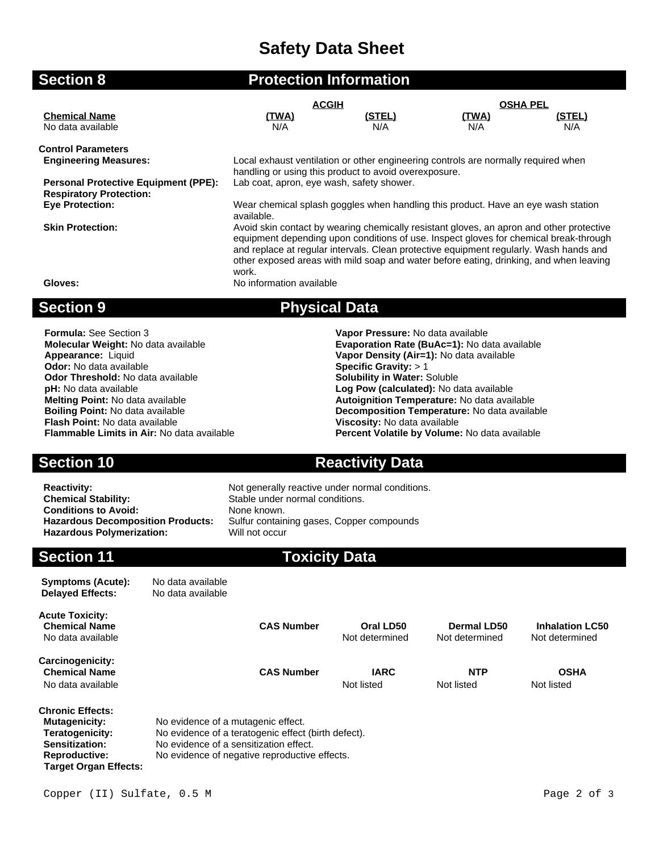# **Safety Data Sheet**

| <b>Section 8</b>                                                              | <b>Protection Information</b>                                                                                                                                                                                                                                                                                                                                                  |                      |                     |               |  |
|-------------------------------------------------------------------------------|--------------------------------------------------------------------------------------------------------------------------------------------------------------------------------------------------------------------------------------------------------------------------------------------------------------------------------------------------------------------------------|----------------------|---------------------|---------------|--|
|                                                                               | <b>ACGIH</b>                                                                                                                                                                                                                                                                                                                                                                   |                      | <b>OSHA PEL</b>     |               |  |
| <b>Chemical Name</b><br>No data available                                     | <u>(TWA)</u><br>N/A                                                                                                                                                                                                                                                                                                                                                            | <u>(STEL)</u><br>N/A | <u>(TWA)</u><br>N/A | (STEL)<br>N/A |  |
| <b>Control Parameters</b>                                                     |                                                                                                                                                                                                                                                                                                                                                                                |                      |                     |               |  |
| <b>Engineering Measures:</b>                                                  | Local exhaust ventilation or other engineering controls are normally required when<br>handling or using this product to avoid overexposure.                                                                                                                                                                                                                                    |                      |                     |               |  |
| <b>Personal Protective Equipment (PPE):</b><br><b>Respiratory Protection:</b> | Lab coat, apron, eye wash, safety shower.                                                                                                                                                                                                                                                                                                                                      |                      |                     |               |  |
| <b>Eye Protection:</b>                                                        | Wear chemical splash goggles when handling this product. Have an eye wash station<br>available.                                                                                                                                                                                                                                                                                |                      |                     |               |  |
| <b>Skin Protection:</b>                                                       | Avoid skin contact by wearing chemically resistant gloves, an apron and other protective<br>equipment depending upon conditions of use. Inspect gloves for chemical break-through<br>and replace at regular intervals. Clean protective equipment regularly. Wash hands and<br>other exposed areas with mild soap and water before eating, drinking, and when leaving<br>work. |                      |                     |               |  |
| Gloves:                                                                       | No information available                                                                                                                                                                                                                                                                                                                                                       |                      |                     |               |  |
| <b>Section 9</b>                                                              | <b>Physical Data</b>                                                                                                                                                                                                                                                                                                                                                           |                      |                     |               |  |

**Formula:** See Section 3 **Vapor Pressure:** No data available **Molecular Weight:** No data available **Evaporation Rate (BuAc=1):** No data available **Appearance:** Liquid **Appearance:** Liquid **Odor:** No data available **Specific Gravity:** > 1<br> **Odor Threshold:** No data available **Specific Gravity:** > 1<br> **Solubility in Water:** Soluble **Odor Threshold:** No data available **pH:** No data available **Melting Point:** No data available **Autoignition Temperature:** No data available **Boiling Point:** No data available **Decomposition Temperature:** No data available **Flash Point:** No data available **Viscosity:** No data available

### **Percent Volatile by Volume:** No data available

**Vapor Density (Air=1):** No data available<br>Specific Gravity: > 1

**Log Pow (calculated):** No data available

#### **Section 10 <b>Reactivity Data**

**Reactivity:** Not generally reactive under normal conditions. **Chemical Stability:** Stable under normal conditions.<br> **Conditions to Avoid:** None known. **Conditions to Avoid:<br>Hazardous Decomposition Products: Hazardous Polymerization:** 

# Sulfur containing gases, Copper compounds<br>Will not occur **Section 11 Toxicity Data**

| <b>Symptoms (Acute):</b><br><b>Delayed Effects:</b>                                                                                   | No data available<br>No data available                                                                                                                                               |                   |                             |                               |                                          |
|---------------------------------------------------------------------------------------------------------------------------------------|--------------------------------------------------------------------------------------------------------------------------------------------------------------------------------------|-------------------|-----------------------------|-------------------------------|------------------------------------------|
| <b>Acute Toxicity:</b><br><b>Chemical Name</b><br>No data available                                                                   |                                                                                                                                                                                      | <b>CAS Number</b> | Oral LD50<br>Not determined | Dermal LD50<br>Not determined | <b>Inhalation LC50</b><br>Not determined |
| Carcinogenicity:<br><b>Chemical Name</b><br>No data available                                                                         |                                                                                                                                                                                      | <b>CAS Number</b> | <b>IARC</b><br>Not listed   | <b>NTP</b><br>Not listed      | <b>OSHA</b><br>Not listed                |
| <b>Chronic Effects:</b><br>Mutagenicity:<br>Teratogenicity:<br>Sensitization:<br><b>Reproductive:</b><br><b>Target Organ Effects:</b> | No evidence of a mutagenic effect.<br>No evidence of a teratogenic effect (birth defect).<br>No evidence of a sensitization effect.<br>No evidence of negative reproductive effects. |                   |                             |                               |                                          |